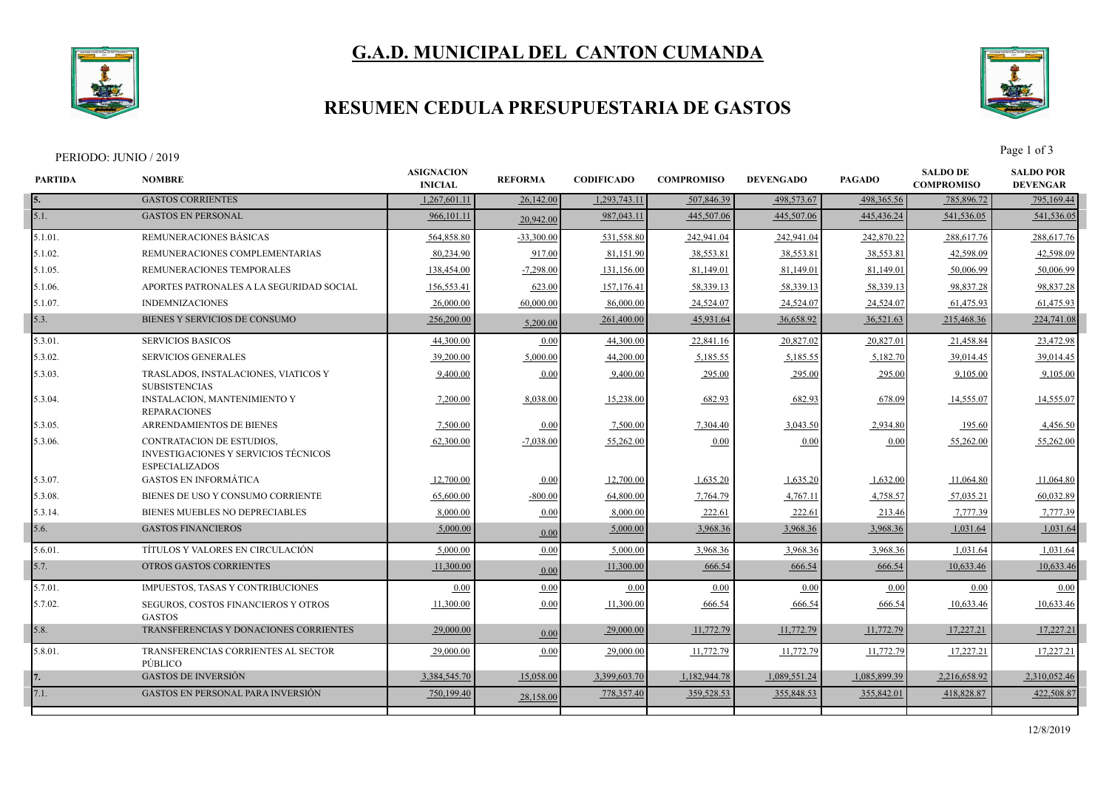

# **G.A.D. MUNICIPAL DEL CANTON CUMANDA**

### **RESUMEN CEDULA PRESUPUESTARIA DE GASTOS**



| <b>PARTIDA</b> | <b>NOMBRE</b>                                                                              | <b>ASIGNACION</b><br><b>INICIAL</b> | <b>REFORMA</b> | <b>CODIFICADO</b> | <b>COMPROMISO</b> | <b>DEVENGADO</b> | <b>PAGADO</b> | <b>SALDO DE</b><br><b>COMPROMISO</b> | <b>SALDO POR</b><br><b>DEVENGAR</b> |
|----------------|--------------------------------------------------------------------------------------------|-------------------------------------|----------------|-------------------|-------------------|------------------|---------------|--------------------------------------|-------------------------------------|
|                | <b>GASTOS CORRIENTES</b>                                                                   | 1,267,601.11                        | 26,142.00      | 1,293,743.11      | 507,846.39        | 498,573.67       | 498,365.56    | 785,896.72                           | 795,169.44                          |
| 5.1.           | <b>GASTOS EN PERSONAL</b>                                                                  | 966,101.11                          | 20,942.00      | 987,043.11        | 445,507.06        | 445,507.06       | 445,436.24    | 541,536.05                           | 541,536.05                          |
| 5.1.01.        | REMUNERACIONES BÁSICAS                                                                     | 564,858.80                          | $-33,300.00$   | 531,558.80        | 242,941.04        | 242,941.04       | 242,870.22    | 288,617.76                           | 288,617.76                          |
| 5.1.02.        | REMUNERACIONES COMPLEMENTARIAS                                                             | 80,234.90                           | 917.00         | 81,151.90         | 38,553.81         | 38,553.81        | 38,553.81     | 42,598.09                            | 42,598.09                           |
| 5.1.05.        | REMUNERACIONES TEMPORALES                                                                  | 138,454.00                          | $-7,298.00$    | 131,156.00        | 81,149.01         | 81,149.01        | 81,149.01     | 50,006.99                            | 50,006.99                           |
| $5.1.06$ .     | APORTES PATRONALES A LA SEGURIDAD SOCIAL                                                   | 156,553.41                          | 623.00         | 157,176.41        | 58,339.13         | 58,339.13        | 58,339.13     | 98,837.28                            | 98,837.28                           |
| 5.1.07.        | <b>INDEMNIZACIONES</b>                                                                     | 26,000.00                           | 60,000.00      | 86,000.00         | 24,524.07         | 24,524.07        | 24,524.07     | 61,475.93                            | 61,475.93                           |
| 5.3.           | BIENES Y SERVICIOS DE CONSUMO                                                              | 256,200.00                          | 5,200.00       | 261,400.00        | 45,931.64         | 36,658.92        | 36,521.63     | 215,468.36                           | 224,741.08                          |
| 5.3.01         | <b>SERVICIOS BASICOS</b>                                                                   | 44,300.00                           | 0.00           | 44,300.00         | 22,841.16         | 20,827.02        | 20,827.01     | 21,458.84                            | 23,472.98                           |
| 5.3.02.        | <b>SERVICIOS GENERALES</b>                                                                 | 39,200.00                           | 5,000.00       | 44,200.00         | 5,185.55          | 5,185.55         | 5,182.70      | 39,014.45                            | 39,014.45                           |
| 5.3.03.        | TRASLADOS, INSTALACIONES, VIATICOS Y<br><b>SUBSISTENCIAS</b>                               | 9,400.00                            | 0.00           | 9,400.00          | 295.00            | 295.00           | 295.00        | 9,105.00                             | 9,105.00                            |
| 5.3.04.        | <b>INSTALACION, MANTENIMIENTO Y</b><br><b>REPARACIONES</b>                                 | 7,200.00                            | 8,038.00       | 15,238.00         | 682.93            | 682.93           | 678.09        | 14,555.07                            | 14,555.07                           |
| 5.3.05.        | ARRENDAMIENTOS DE BIENES                                                                   | 7,500.00                            | 0.00           | 7,500.00          | 7,304.40          | 3,043.50         | 2,934.80      | 195.60                               | 4,456.50                            |
| 5.3.06.        | CONTRATACION DE ESTUDIOS.<br>INVESTIGACIONES Y SERVICIOS TÉCNICOS<br><b>ESPECIALIZADOS</b> | 62,300.00                           | $-7.038.00$    | 55,262.00         | 0.00              | 0.00             | 0.00          | 55,262.00                            | 55,262.00                           |
| 5.3.07.        | <b>GASTOS EN INFORMÁTICA</b>                                                               | 12,700.00                           | 0.00           | 12,700.00         | 1,635.20          | 1,635.20         | 1,632.00      | 11,064.80                            | 11,064.80                           |
| 5.3.08.        | BIENES DE USO Y CONSUMO CORRIENTE                                                          | 65,600.00                           | $-800.00$      | 64,800.00         | 7,764.79          | 4,767.11         | 4,758.57      | 57,035.21                            | 60.032.89                           |
| 5.3.14.        | <b>BIENES MUEBLES NO DEPRECIABLES</b>                                                      | 8,000.00                            | 0.00           | 8,000.00          | 222.61            | 222.61           | 213.46        | 7,777.39                             | 7,777.39                            |
| 5.6.           | <b>GASTOS FINANCIEROS</b>                                                                  | 5,000.00                            | 0.00           | 5,000.00          | 3,968.36          | 3,968.36         | 3,968.36      | 1,031.64                             | 1,031.64                            |
| 5.6.01         | TÍTULOS Y VALORES EN CIRCULACIÓN                                                           | 5,000.00                            | 0.00           | 5,000.00          | 3,968.36          | 3,968.36         | 3,968.3       | 1,031.64                             | 1,031.64                            |
| 5.7.           | <b>OTROS GASTOS CORRIENTES</b>                                                             | 11,300.00                           | 0.00           | 11,300.00         | 666.54            | 666.54           | 666.54        | 10.633.46                            | 10,633.46                           |
| 5.7.01.        | <b>IMPUESTOS, TASAS Y CONTRIBUCIONES</b>                                                   | 0.00                                | 0.00           | 0.00              | 0.00              | 0.00             | 0.00          | 0.00                                 | 0.00                                |
| 5.7.02.        | SEGUROS, COSTOS FINANCIEROS Y OTROS<br><b>GASTOS</b>                                       | 11,300.00                           | 0.00           | 11,300.00         | 666.54            | 666.54           | 666.54        | 10,633.46                            | 10,633.46                           |
| 5.8.           | TRANSFERENCIAS Y DONACIONES CORRIENTES                                                     | 29,000.00                           | 0.00           | 29,000.00         | 11,772.79         | 11,772.79        | 11,772.79     | 17,227.21                            | 17,227.21                           |
| 5.8.01.        | TRANSFERENCIAS CORRIENTES AL SECTOR<br>PÚBLICO                                             | 29,000.00                           | 0.00           | 29,000.00         | 11,772.79         | 11,772.79        | 11,772.79     | 17,227.21                            | 17,227.21                           |
|                | <b>GASTOS DE INVERSIÓN</b>                                                                 | 3,384,545.70                        | 15,058.00      | 3,399,603.70      | 1,182,944.78      | 1,089,551.24     | 1,085,899.39  | 2,216,658.92                         | 2,310,052.46                        |
| 7.1.           | <b>GASTOS EN PERSONAL PARA INVERSIÓN</b>                                                   | 750,199.40                          | 28,158.00      | 778,357.40        | 359,528.53        | 355,848.53       | 355,842.01    | 418,828.87                           | 422,508.87                          |
|                |                                                                                            |                                     |                |                   |                   |                  |               |                                      |                                     |

12/8/2019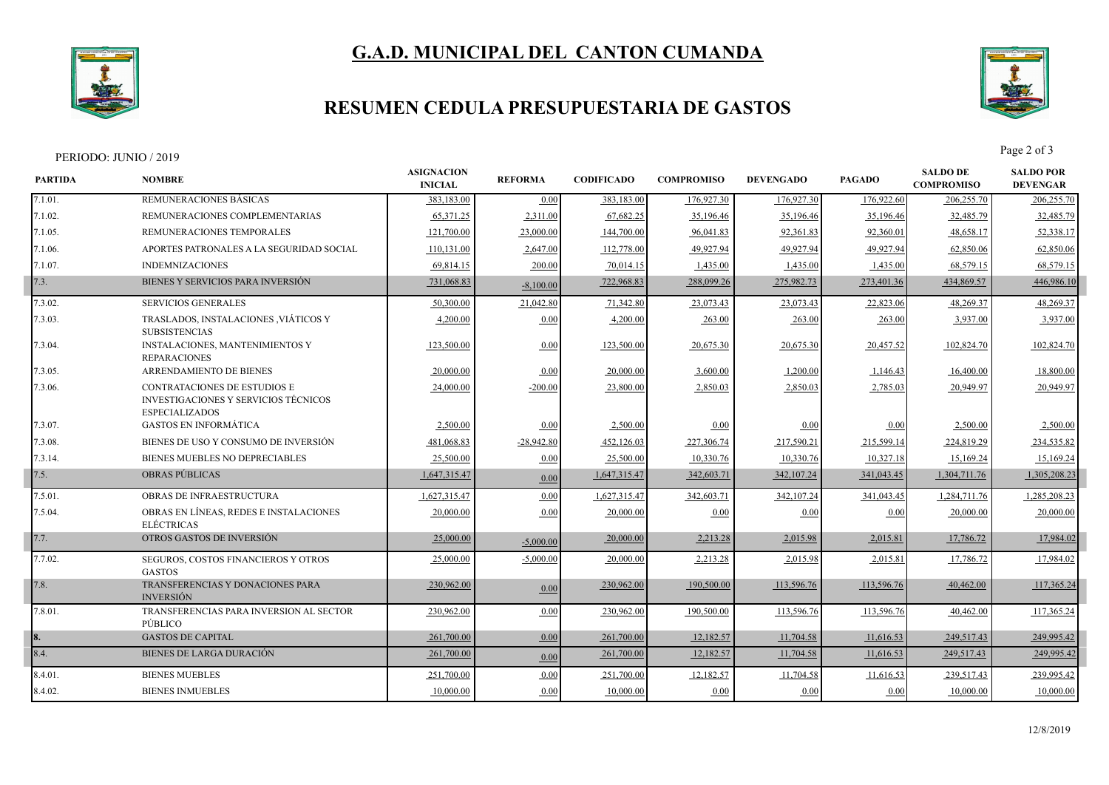

# **G.A.D. MUNICIPAL DEL CANTON CUMANDA**

### **RESUMEN CEDULA PRESUPUESTARIA DE GASTOS**



|                | PERIODO: JUNIO / 2019                                                                         |                                     |                |                   |                   |                  |               |                                      | Page 2 of 3                         |
|----------------|-----------------------------------------------------------------------------------------------|-------------------------------------|----------------|-------------------|-------------------|------------------|---------------|--------------------------------------|-------------------------------------|
| <b>PARTIDA</b> | <b>NOMBRE</b>                                                                                 | <b>ASIGNACION</b><br><b>INICIAL</b> | <b>REFORMA</b> | <b>CODIFICADO</b> | <b>COMPROMISO</b> | <b>DEVENGADO</b> | <b>PAGADO</b> | <b>SALDO DE</b><br><b>COMPROMISO</b> | <b>SALDO POR</b><br><b>DEVENGAR</b> |
| 7.1.01.        | REMUNERACIONES BÁSICAS                                                                        | 383,183.00                          | 0.00           | 383,183.00        | 176,927.30        | 176,927.30       | 176,922.60    | 206,255.70                           | 206,255.70                          |
| 7.1.02.        | REMUNERACIONES COMPLEMENTARIAS                                                                | 65,371.25                           | 2,311.00       | 67,682.25         | 35,196.46         | 35,196.46        | 35,196.46     | 32,485.79                            | 32,485.79                           |
| 7.1.05.        | REMUNERACIONES TEMPORALES                                                                     | 121,700.00                          | 23,000.00      | 144,700.00        | 96,041.83         | 92,361.83        | 92,360.01     | 48,658.17                            | 52,338.17                           |
| 7.1.06.        | APORTES PATRONALES A LA SEGURIDAD SOCIAL                                                      | 110,131.00                          | 2,647.00       | 112,778.00        | 49,927.94         | 49,927.94        | 49,927.94     | 62,850.06                            | 62,850.06                           |
| 7.1.07.        | <b>INDEMNIZACIONES</b>                                                                        | 69,814.15                           | 200.00         | 70,014.15         | 1,435.00          | 1,435.00         | 1,435.00      | 68,579.15                            | 68,579.15                           |
| 7.3.           | BIENES Y SERVICIOS PARA INVERSIÓN                                                             | 731,068.83                          | $-8,100.00$    | 722,968.83        | 288,099.26        | 275,982.73       | 273,401.36    | 434,869.57                           | 446,986.10                          |
| 7.3.02.        | <b>SERVICIOS GENERALES</b>                                                                    | 50,300.00                           | 21,042.80      | 71,342.80         | 23,073.43         | 23,073.43        | 22,823.06     | 48,269.37                            | 48,269.37                           |
| 7.3.03.        | TRASLADOS, INSTALACIONES , VIÁTICOS Y<br><b>SUBSISTENCIAS</b>                                 | 4,200.00                            | 0.00           | 4,200.00          | 263.00            | 263.00           | 263.00        | 3,937.00                             | 3,937.00                            |
| 7.3.04.        | <b>INSTALACIONES, MANTENIMIENTOS Y</b><br><b>REPARACIONES</b>                                 | 123,500.00                          | 0.00           | 123,500.00        | 20,675.30         | 20,675.30        | 20,457.52     | 102,824.70                           | 102,824.70                          |
| 7.3.05.        | ARRENDAMIENTO DE BIENES                                                                       | 20,000.00                           | 0.00           | 20,000.00         | 3,600.00          | 1,200.00         | 1,146.43      | 16,400.00                            | 18,800.00                           |
| 7.3.06.        | CONTRATACIONES DE ESTUDIOS E<br>INVESTIGACIONES Y SERVICIOS TÉCNICOS<br><b>ESPECIALIZADOS</b> | 24,000.00                           | $-200.00$      | 23,800.00         | 2,850.03          | 2,850.03         | 2,785.03      | 20,949.97                            | 20,949.97                           |
| 7.3.07.        | <b>GASTOS EN INFORMÁTICA</b>                                                                  | 2,500.00                            | 0.00           | 2,500.00          | 0.00              | 0.00             | 0.00          | 2,500.00                             | 2,500.00                            |
| 7.3.08.        | BIENES DE USO Y CONSUMO DE INVERSIÓN                                                          | 481,068.83                          | $-28,942.80$   | 452,126.03        | 227,306.74        | 217,590.21       | 215,599.14    | 224,819.29                           | 234,535.82                          |
| 7.3.14.        | BIENES MUEBLES NO DEPRECIABLES                                                                | 25,500.00                           | 0.00           | 25,500.00         | 10,330.76         | 10,330.76        | 10,327.18     | 15,169.24                            | 15,169.24                           |
| 7.5.           | <b>OBRAS PUBLICAS</b>                                                                         | 1,647,315.47                        | 0.00           | 1,647,315.47      | 342,603.71        | 342,107.24       | 341,043.45    | 1,304,711.76                         | 1,305,208.23                        |
| 7.5.01.        | OBRAS DE INFRAESTRUCTURA                                                                      | 1,627,315.47                        | 0.00           | 1,627,315.47      | 342,603.71        | 342,107.24       | 341,043.45    | 1,284,711.76                         | 1,285,208.23                        |
| 7.5.04.        | OBRAS EN LÍNEAS, REDES E INSTALACIONES<br><b>ELÉCTRICAS</b>                                   | 20,000.00                           | 0.00           | 20,000.00         | 0.00              | 0.00             | 0.00          | 20,000.00                            | 20,000.00                           |
| 7.7.           | OTROS GASTOS DE INVERSIÓN                                                                     | 25,000.00                           | $-5,000.00$    | 20,000.00         | 2,213.28          | 2,015.98         | 2,015.81      | 17,786.72                            | 17,984.02                           |
| 7.7.02.        | SEGUROS, COSTOS FINANCIEROS Y OTROS<br><b>GASTOS</b>                                          | 25,000.00                           | $-5,000.00$    | 20,000.00         | 2,213.28          | 2,015.98         | 2,015.81      | 17,786.72                            | 17,984.02                           |
| 7.8.           | TRANSFERENCIAS Y DONACIONES PARA<br><b>INVERSIÓN</b>                                          | 230,962.00                          | 0.00           | 230,962.00        | 190,500.00        | 113,596.76       | 113,596.76    | 40,462.00                            | 117,365.24                          |
| 7.8.01.        | TRANSFERENCIAS PARA INVERSION AL SECTOR<br>PÚBLICO                                            | 230,962.00                          | 0.00           | 230,962.00        | 190,500.00        | 113,596.76       | 113,596.76    | 40,462.00                            | 117,365.24                          |
|                | <b>GASTOS DE CAPITAL</b>                                                                      | 261,700.00                          | 0.00           | 261,700.00        | 12,182.57         | 11,704.58        | 11,616.53     | 249,517.43                           | 249,995.42                          |
| 8.4.           | BIENES DE LARGA DURACIÓN                                                                      | 261,700.00                          | 0.00           | 261,700.00        | 12,182.57         | 11,704.58        | 11,616.53     | 249,517.43                           | 249,995.42                          |
| 8.4.01         | <b>BIENES MUEBLES</b>                                                                         | 251,700.00                          | 0.00           | 251,700.00        | 12,182.57         | 11,704.58        | 11,616.53     | 239,517.43                           | 239,995.42                          |
| 8.4.02.        | <b>BIENES INMUEBLES</b>                                                                       | 10,000.00                           | 0.00           | 10,000.00         | 0.00              | 0.00             | 0.00          | 10,000.00                            | 10,000.00                           |
|                |                                                                                               |                                     |                |                   |                   |                  |               |                                      |                                     |